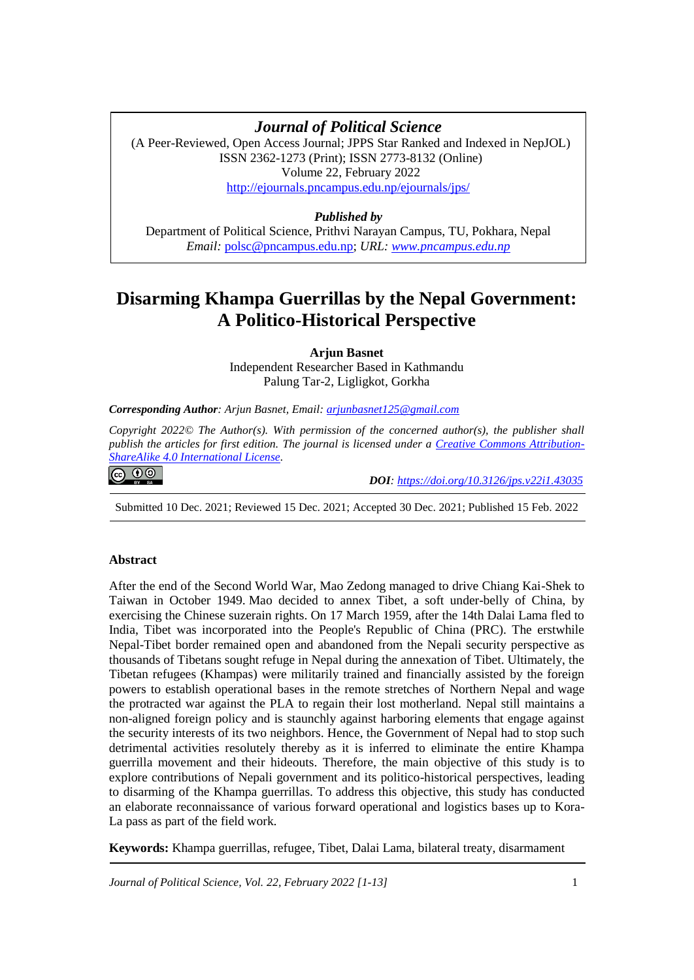# **Disarming Khampa Guerrillas by the Nepal Government** *Journal of Political Science*

(A Peer-Reviewed, Open Access Journal; JPPS Star Ranked and Indexed in NepJOL) ISSN 2362-1273 (Print); ISSN 2773-8132 (Online) Volume 22, February 2022 <http://ejournals.pncampus.edu.np/ejournals/jps/>

# *Published by*

Department of Political Science, Prithvi Narayan Campus, TU, Pokhara, Nepal *Email:* [polsc@pncampus.edu.np;](mailto:polsc@pncampus.edu.np) *URL: [www.pncampus.edu.np](http://www.pncampus.edu.np/)*

# **Disarming Khampa Guerrillas by the Nepal Government: A Politico-Historical Perspective**

**Arjun Basnet**

Independent Researcher Based in Kathmandu Palung Tar-2, Ligligkot, Gorkha

*Corresponding Author: Arjun Basnet, Email: [arjunbasnet125@gmail.com](mailto:arjunbasnet125@gmail.com)*

*Copyright 2022© The Author(s). With permission of the concerned author(s), the publisher shall publish the articles for first edition. The journal is licensed under a [Creative Commons Attribution-](https://creativecommons.org/licenses/by-sa/4.0/)[ShareAlike 4.0 International License.](https://creativecommons.org/licenses/by-sa/4.0/)*

ெ 0

 *DOI: <https://doi.org/10.3126/jps.v22i1.43035>*

Submitted 10 Dec. 2021; Reviewed 15 Dec. 2021; Accepted 30 Dec. 2021; Published 15 Feb. 2022

## **Abstract**

After the end of the Second World War, Mao Zedong managed to drive Chiang Kai-Shek to Taiwan in October 1949. Mao decided to annex Tibet, a soft under-belly of China, by exercising the Chinese suzerain rights. On 17 March 1959, after the 14th Dalai Lama fled to India, Tibet was incorporated into the People's Republic of China (PRC). The erstwhile Nepal-Tibet border remained open and abandoned from the Nepali security perspective as thousands of Tibetans sought refuge in Nepal during the annexation of Tibet. Ultimately, the Tibetan refugees (Khampas) were militarily trained and financially assisted by the foreign powers to establish operational bases in the remote stretches of Northern Nepal and wage the protracted war against the PLA to regain their lost motherland. Nepal still maintains a non-aligned foreign policy and is staunchly against harboring elements that engage against the security interests of its two neighbors. Hence, the Government of Nepal had to stop such detrimental activities resolutely thereby as it is inferred to eliminate the entire Khampa guerrilla movement and their hideouts. Therefore, the main objective of this study is to explore contributions of Nepali government and its politico-historical perspectives, leading to disarming of the Khampa guerrillas. To address this objective, this study has conducted an elaborate reconnaissance of various forward operational and logistics bases up to Kora-La pass as part of the field work.

**Keywords:** Khampa guerrillas, refugee, Tibet, Dalai Lama, bilateral treaty, disarmament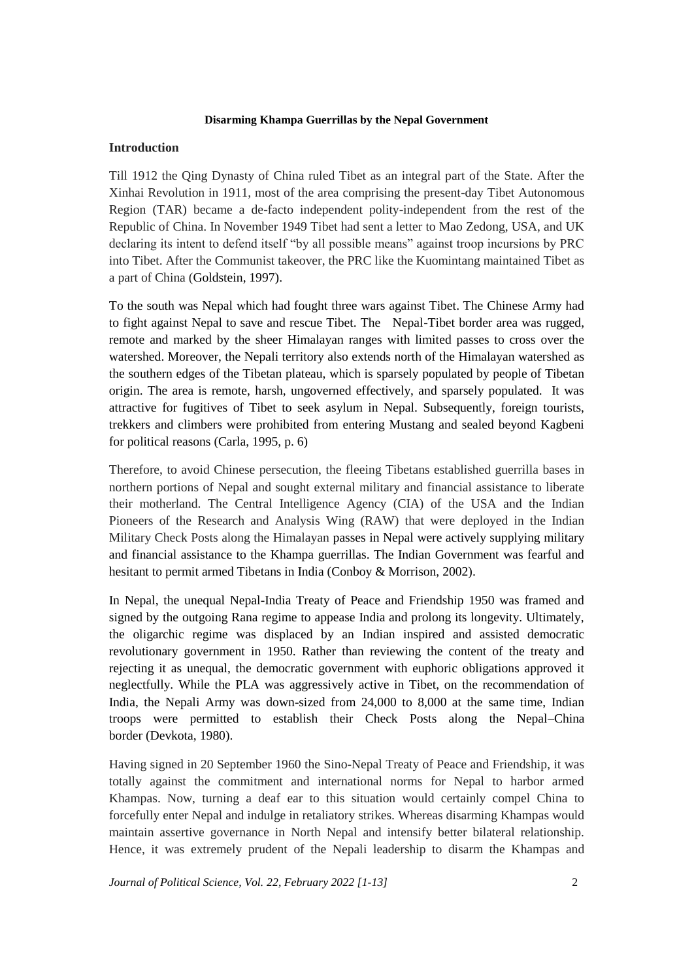## **Introduction**

Till 1912 the Qing Dynasty of China ruled Tibet as an integral part of the State. After the Xinhai Revolution in 1911, most of the area comprising the present-day Tibet Autonomous Region (TAR) became a de-facto independent polity-independent from the rest of the Republic of China. In November 1949 Tibet had sent a letter to Mao Zedong, USA, and UK declaring its intent to defend itself "by all possible means" against troop incursions by PRC into Tibet. After the Communist takeover, the PRC like the Kuomintang maintained Tibet as a part of China (Goldstein, 1997).

To the south was Nepal which had fought three wars against Tibet. The Chinese Army had to fight against Nepal to save and rescue Tibet. The Nepal-Tibet border area was rugged, remote and marked by the sheer Himalayan ranges with limited passes to cross over the watershed. Moreover, the Nepali territory also extends north of the Himalayan watershed as the southern edges of the Tibetan plateau, which is sparsely populated by people of Tibetan origin. The area is remote, harsh, ungoverned effectively, and sparsely populated. It was attractive for fugitives of Tibet to seek asylum in Nepal. Subsequently, foreign tourists, trekkers and climbers were prohibited from entering Mustang and sealed beyond Kagbeni for political reasons (Carla, 1995, p. 6)

Therefore, to avoid Chinese persecution, the fleeing Tibetans established guerrilla bases in northern portions of Nepal and sought external military and financial assistance to liberate their motherland. The Central Intelligence Agency (CIA) of the USA and the Indian Pioneers of the Research and Analysis Wing (RAW) that were deployed in the Indian Military Check Posts along the Himalayan passes in Nepal were actively supplying military and financial assistance to the Khampa guerrillas. The Indian Government was fearful and hesitant to permit armed Tibetans in India (Conboy & Morrison, 2002).

In Nepal, the unequal Nepal-India Treaty of Peace and Friendship 1950 was framed and signed by the outgoing Rana regime to appease India and prolong its longevity. Ultimately, the oligarchic regime was displaced by an Indian inspired and assisted democratic revolutionary government in 1950. Rather than reviewing the content of the treaty and rejecting it as unequal, the democratic government with euphoric obligations approved it neglectfully. While the PLA was aggressively active in Tibet, on the recommendation of India, the Nepali Army was down-sized from 24,000 to 8,000 at the same time, Indian troops were permitted to establish their Check Posts along the Nepal–China border (Devkota, 1980).

Having signed in 20 September 1960 the Sino-Nepal Treaty of Peace and Friendship, it was totally against the commitment and international norms for Nepal to harbor armed Khampas. Now, turning a deaf ear to this situation would certainly compel China to forcefully enter Nepal and indulge in retaliatory strikes. Whereas disarming Khampas would maintain assertive governance in North Nepal and intensify better bilateral relationship. Hence, it was extremely prudent of the Nepali leadership to disarm the Khampas and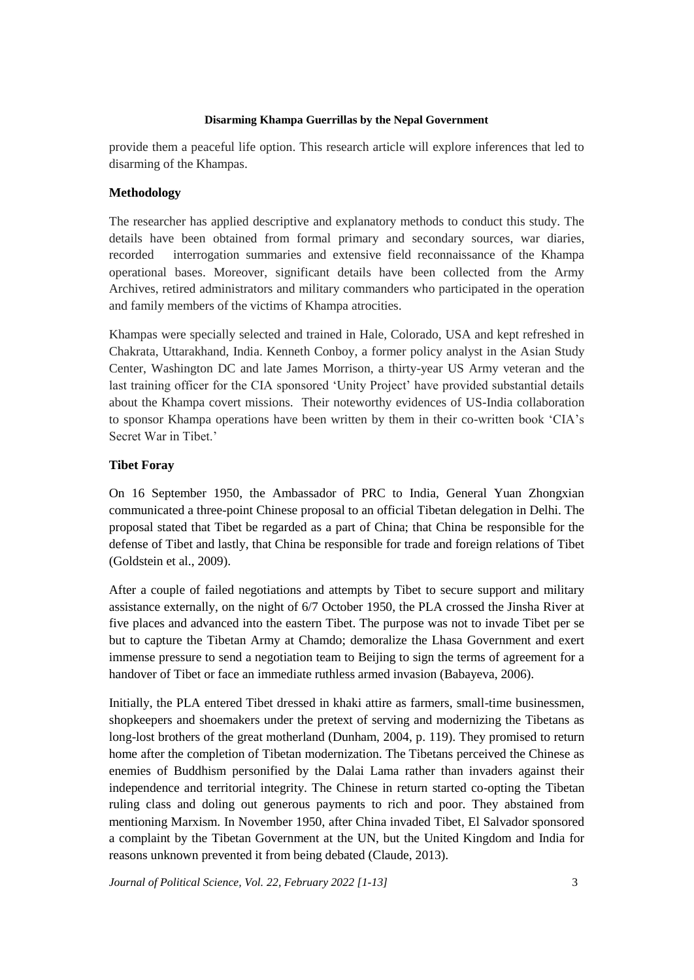provide them a peaceful life option. This research article will explore inferences that led to disarming of the Khampas.

# **Methodology**

The researcher has applied descriptive and explanatory methods to conduct this study. The details have been obtained from formal primary and secondary sources, war diaries, recorded interrogation summaries and extensive field reconnaissance of the Khampa operational bases. Moreover, significant details have been collected from the Army Archives, retired administrators and military commanders who participated in the operation and family members of the victims of Khampa atrocities.

Khampas were specially selected and trained in Hale, Colorado, USA and kept refreshed in Chakrata, Uttarakhand, India. Kenneth Conboy, a former policy analyst in the Asian Study Center, Washington DC and late James Morrison, a thirty-year US Army veteran and the last training officer for the CIA sponsored 'Unity Project' have provided substantial details about the Khampa covert missions. Their noteworthy evidences of US-India collaboration to sponsor Khampa operations have been written by them in their co-written book 'CIA's Secret War in Tibet.'

# **Tibet Foray**

On 16 September 1950, the Ambassador of PRC to India, General Yuan Zhongxian communicated a three-point Chinese proposal to an official Tibetan delegation in Delhi. The proposal stated that Tibet be regarded as a part of China; that China be responsible for the defense of Tibet and lastly, that China be responsible for trade and foreign relations of Tibet (Goldstein et al., 2009).

After a couple of failed negotiations and attempts by Tibet to secure support and military assistance externally, on the night of 6/7 October 1950, the PLA crossed the Jinsha River at five places and advanced into the eastern Tibet. The purpose was not to invade Tibet per se but to capture the Tibetan Army at Chamdo; demoralize the Lhasa Government and exert immense pressure to send a negotiation team to Beijing to sign the terms of agreement for a handover of Tibet or face an immediate ruthless armed invasion (Babayeva, 2006).

Initially, the PLA entered Tibet dressed in khaki attire as farmers, small-time businessmen, shopkeepers and shoemakers under the pretext of serving and modernizing the Tibetans as long-lost brothers of the great motherland (Dunham, 2004, p. 119). They promised to return home after the completion of Tibetan modernization. The Tibetans perceived the Chinese as enemies of Buddhism personified by the Dalai Lama rather than invaders against their independence and territorial integrity. The Chinese in return started co-opting the Tibetan ruling class and doling out generous payments to rich and poor. They abstained from mentioning Marxism. In November 1950, after China invaded Tibet, El Salvador sponsored a complaint by the Tibetan Government at the UN, but the United Kingdom and India for reasons unknown prevented it from being debated (Claude, 2013).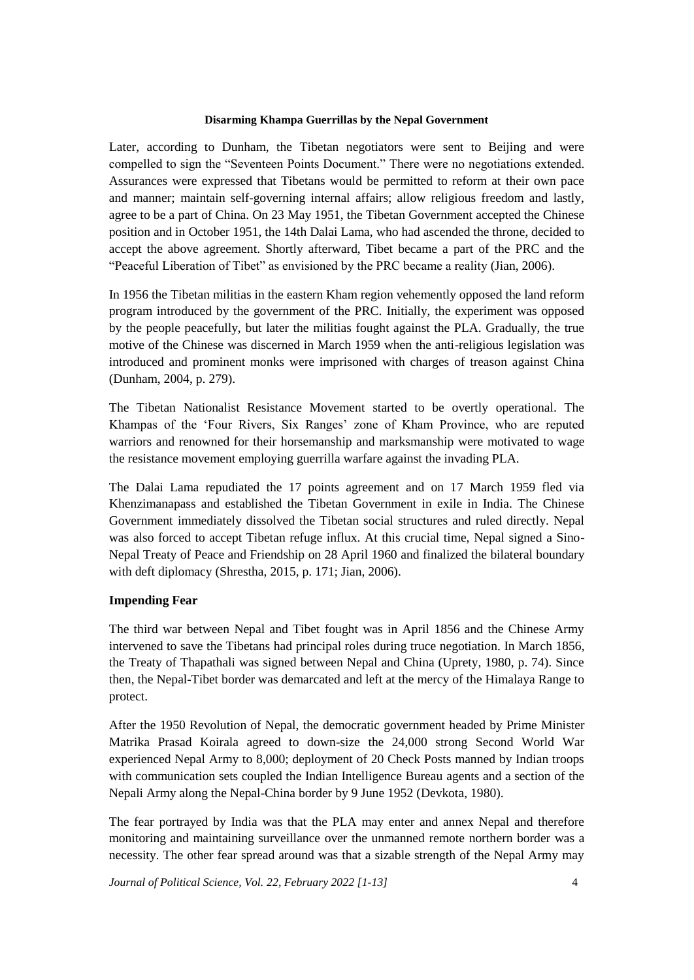Later, according to Dunham, the Tibetan negotiators were sent to Beijing and were compelled to sign the "Seventeen Points Document." There were no negotiations extended. Assurances were expressed that Tibetans would be permitted to reform at their own pace and manner; maintain self-governing internal affairs; allow religious freedom and lastly, agree to be a part of China. On 23 May 1951, the Tibetan Government accepted the Chinese position and in October 1951, the 14th Dalai Lama, who had ascended the throne, decided to accept the above agreement. Shortly afterward, Tibet became a part of the PRC and the "Peaceful Liberation of Tibet" as envisioned by the PRC became a reality (Jian, 2006).

In 1956 the Tibetan militias in the eastern Kham region vehemently opposed the land reform program introduced by the government of the PRC. Initially, the experiment was opposed by the people peacefully, but later the militias fought against the PLA. Gradually, the true motive of the Chinese was discerned in March 1959 when the anti-religious legislation was introduced and prominent monks were imprisoned with charges of treason against China (Dunham, 2004, p. 279).

The Tibetan Nationalist Resistance Movement started to be overtly operational. The Khampas of the 'Four Rivers, Six Ranges' zone of Kham Province, who are reputed warriors and renowned for their horsemanship and marksmanship were motivated to wage the resistance movement employing guerrilla warfare against the invading PLA.

The Dalai Lama repudiated the 17 points agreement and on 17 March 1959 fled via Khenzimanapass and established the Tibetan Government in exile in India. The Chinese Government immediately dissolved the Tibetan social structures and ruled directly. Nepal was also forced to accept Tibetan refuge influx. At this crucial time, Nepal signed a Sino-Nepal Treaty of Peace and Friendship on 28 April 1960 and finalized the bilateral boundary with deft diplomacy (Shrestha, 2015, p. 171; Jian, 2006).

## **Impending Fear**

The third war between Nepal and Tibet fought was in April 1856 and the Chinese Army intervened to save the Tibetans had principal roles during truce negotiation. In March 1856, the Treaty of Thapathali was signed between Nepal and China (Uprety, 1980, p. 74). Since then, the Nepal-Tibet border was demarcated and left at the mercy of the Himalaya Range to protect.

After the 1950 Revolution of Nepal, the democratic government headed by Prime Minister Matrika Prasad Koirala agreed to down-size the 24,000 strong Second World War experienced Nepal Army to 8,000; deployment of 20 Check Posts manned by Indian troops with communication sets coupled the Indian Intelligence Bureau agents and a section of the Nepali Army along the Nepal-China border by 9 June 1952 (Devkota, 1980).

The fear portrayed by India was that the PLA may enter and annex Nepal and therefore monitoring and maintaining surveillance over the unmanned remote northern border was a necessity. The other fear spread around was that a sizable strength of the Nepal Army may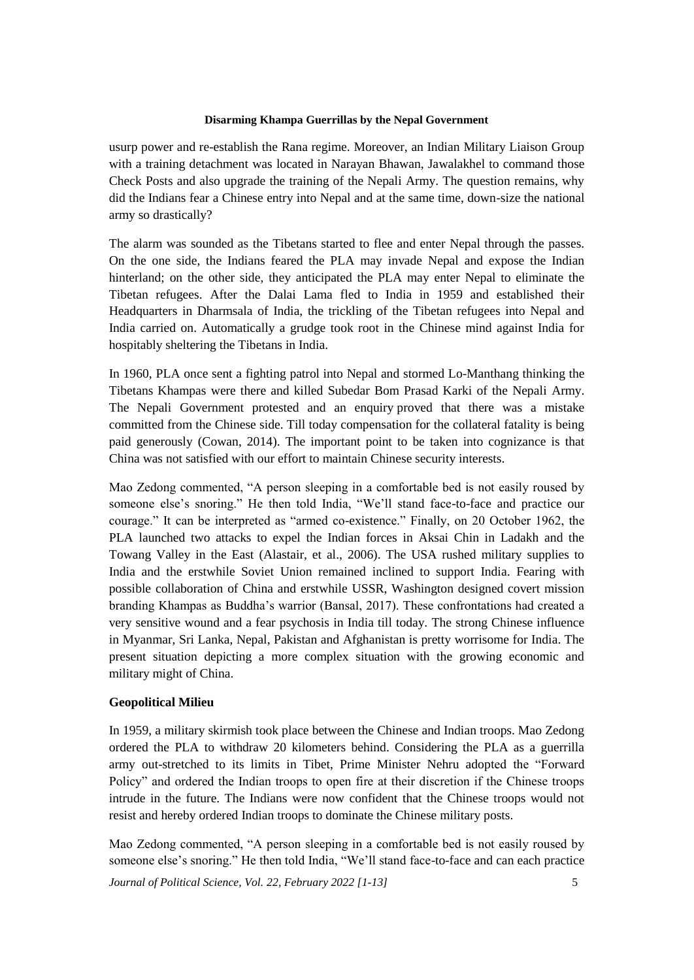usurp power and re-establish the Rana regime. Moreover, an Indian Military Liaison Group with a training detachment was located in Narayan Bhawan, Jawalakhel to command those Check Posts and also upgrade the training of the Nepali Army. The question remains, why did the Indians fear a Chinese entry into Nepal and at the same time, down-size the national army so drastically?

The alarm was sounded as the Tibetans started to flee and enter Nepal through the passes. On the one side, the Indians feared the PLA may invade Nepal and expose the Indian hinterland; on the other side, they anticipated the PLA may enter Nepal to eliminate the Tibetan refugees. After the Dalai Lama fled to India in 1959 and established their Headquarters in Dharmsala of India, the trickling of the Tibetan refugees into Nepal and India carried on. Automatically a grudge took root in the Chinese mind against India for hospitably sheltering the Tibetans in India.

In 1960, PLA once sent a fighting patrol into Nepal and stormed Lo-Manthang thinking the Tibetans Khampas were there and killed Subedar Bom Prasad Karki of the Nepali Army. The Nepali Government protested and an enquiry proved that there was a mistake committed from the Chinese side. Till today compensation for the collateral fatality is being paid generously (Cowan, 2014). The important point to be taken into cognizance is that China was not satisfied with our effort to maintain Chinese security interests.

Mao Zedong commented, "A person sleeping in a comfortable bed is not easily roused by someone else's snoring." He then told India, "We'll stand face-to-face and practice our courage." It can be interpreted as "armed co-existence." Finally, on 20 October 1962, the PLA launched two attacks to expel the Indian forces in Aksai Chin in Ladakh and the Towang Valley in the East (Alastair, et al., 2006). The USA rushed military supplies to India and the erstwhile Soviet Union remained inclined to support India. Fearing with possible collaboration of China and erstwhile USSR, Washington designed covert mission branding Khampas as Buddha's warrior (Bansal, 2017). These confrontations had created a very sensitive wound and a fear psychosis in India till today. The strong Chinese influence in Myanmar, Sri Lanka, Nepal, Pakistan and Afghanistan is pretty worrisome for India. The present situation depicting a more complex situation with the growing economic and military might of China.

## **Geopolitical Milieu**

In 1959, a military skirmish took place between the Chinese and Indian troops. Mao Zedong ordered the PLA to withdraw 20 kilometers behind. Considering the PLA as a guerrilla army out-stretched to its limits in Tibet, Prime Minister Nehru adopted the "Forward Policy" and ordered the Indian troops to open fire at their discretion if the Chinese troops intrude in the future. The Indians were now confident that the Chinese troops would not resist and hereby ordered Indian troops to dominate the Chinese military posts.

Mao Zedong commented, "A person sleeping in a comfortable bed is not easily roused by someone else's snoring." He then told India, "We'll stand face-to-face and can each practice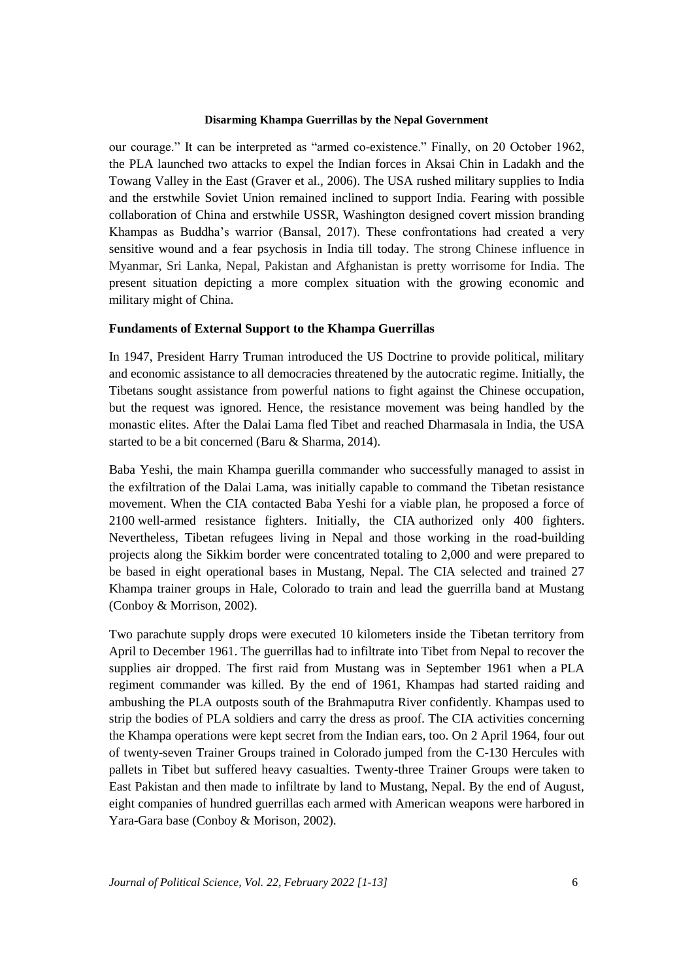our courage." It can be interpreted as "armed co-existence." Finally, on 20 October 1962, the PLA launched two attacks to expel the Indian forces in Aksai Chin in Ladakh and the Towang Valley in the East (Graver et al., 2006). The USA rushed military supplies to India and the erstwhile Soviet Union remained inclined to support India. Fearing with possible collaboration of China and erstwhile USSR, Washington designed covert mission branding Khampas as Buddha's warrior (Bansal, 2017). These confrontations had created a very sensitive wound and a fear psychosis in India till today. The strong Chinese influence in Myanmar, Sri Lanka, Nepal, Pakistan and Afghanistan is pretty worrisome for India. The present situation depicting a more complex situation with the growing economic and military might of China.

## **Fundaments of External Support to the Khampa Guerrillas**

In 1947, President Harry Truman introduced the US Doctrine to provide political, military and economic assistance to all democracies threatened by the autocratic regime. Initially, the Tibetans sought assistance from powerful nations to fight against the Chinese occupation, but the request was ignored. Hence, the resistance movement was being handled by the monastic elites. After the Dalai Lama fled Tibet and reached Dharmasala in India, the USA started to be a bit concerned (Baru & Sharma, 2014).

Baba Yeshi, the main Khampa guerilla commander who successfully managed to assist in the exfiltration of the Dalai Lama, was initially capable to command the Tibetan resistance movement. When the CIA contacted Baba Yeshi for a viable plan, he proposed a force of 2100 well-armed resistance fighters. Initially, the CIA authorized only 400 fighters. Nevertheless, Tibetan refugees living in Nepal and those working in the road-building projects along the Sikkim border were concentrated totaling to 2,000 and were prepared to be based in eight operational bases in Mustang, Nepal. The CIA selected and trained 27 Khampa trainer groups in Hale, Colorado to train and lead the guerrilla band at Mustang (Conboy & Morrison, 2002).

Two parachute supply drops were executed 10 kilometers inside the Tibetan territory from April to December 1961. The guerrillas had to infiltrate into Tibet from Nepal to recover the supplies air dropped. The first raid from Mustang was in September 1961 when a PLA regiment commander was killed. By the end of 1961, Khampas had started raiding and ambushing the PLA outposts south of the Brahmaputra River confidently. Khampas used to strip the bodies of PLA soldiers and carry the dress as proof. The CIA activities concerning the Khampa operations were kept secret from the Indian ears, too. On 2 April 1964, four out of twenty-seven Trainer Groups trained in Colorado jumped from the C-130 Hercules with pallets in Tibet but suffered heavy casualties. Twenty-three Trainer Groups were taken to East Pakistan and then made to infiltrate by land to Mustang, Nepal. By the end of August, eight companies of hundred guerrillas each armed with American weapons were harbored in Yara-Gara base (Conboy & Morison, 2002).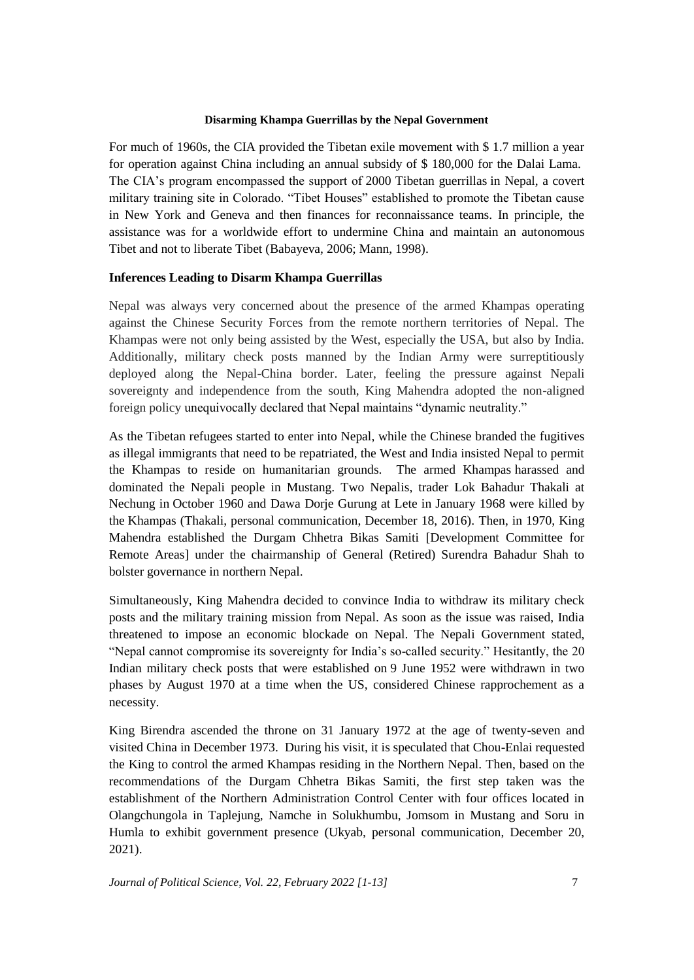For much of 1960s, the CIA provided the Tibetan exile movement with \$ 1.7 million a year for operation against China including an annual subsidy of \$ 180,000 for the Dalai Lama. The CIA's program encompassed the support of 2000 Tibetan guerrillas in Nepal, a covert military training site in Colorado. "Tibet Houses" established to promote the Tibetan cause in New York and Geneva and then finances for reconnaissance teams. In principle, the assistance was for a worldwide effort to undermine China and maintain an autonomous Tibet and not to liberate Tibet (Babayeva, 2006; Mann, 1998).

## **Inferences Leading to Disarm Khampa Guerrillas**

Nepal was always very concerned about the presence of the armed Khampas operating against the Chinese Security Forces from the remote northern territories of Nepal. The Khampas were not only being assisted by the West, especially the USA, but also by India. Additionally, military check posts manned by the Indian Army were surreptitiously deployed along the Nepal-China border. Later, feeling the pressure against Nepali sovereignty and independence from the south, King Mahendra adopted the non-aligned foreign policy unequivocally declared that Nepal maintains "dynamic neutrality."

As the Tibetan refugees started to enter into Nepal, while the Chinese branded the fugitives as illegal immigrants that need to be repatriated, the West and India insisted Nepal to permit the Khampas to reside on humanitarian grounds. The armed Khampas harassed and dominated the Nepali people in Mustang. Two Nepalis, trader Lok Bahadur Thakali at Nechung in October 1960 and Dawa Dorje Gurung at Lete in January 1968 were killed by the Khampas (Thakali, personal communication, December 18, 2016). Then, in 1970, King Mahendra established the Durgam Chhetra Bikas Samiti [Development Committee for Remote Areas] under the chairmanship of General (Retired) Surendra Bahadur Shah to bolster governance in northern Nepal.

Simultaneously, King Mahendra decided to convince India to withdraw its military check posts and the military training mission from Nepal. As soon as the issue was raised, India threatened to impose an economic blockade on Nepal. The Nepali Government stated, "Nepal cannot compromise its sovereignty for India's so-called security." Hesitantly, the 20 Indian military check posts that were established on 9 June 1952 were withdrawn in two phases by August 1970 at a time when the US, considered Chinese rapprochement as a necessity.

King Birendra ascended the throne on 31 January 1972 at the age of twenty-seven and visited China in December 1973. During his visit, it is speculated that Chou-Enlai requested the King to control the armed Khampas residing in the Northern Nepal. Then, based on the recommendations of the Durgam Chhetra Bikas Samiti, the first step taken was the establishment of the Northern Administration Control Center with four offices located in Olangchungola in Taplejung, Namche in Solukhumbu, Jomsom in Mustang and Soru in Humla to exhibit government presence (Ukyab, personal communication, December 20, 2021).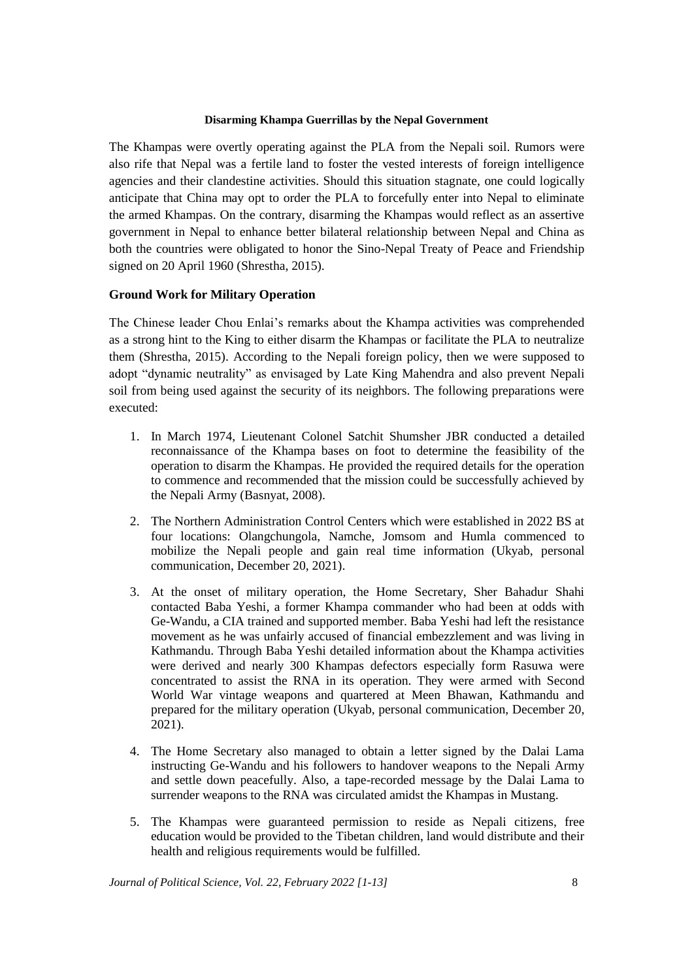The Khampas were overtly operating against the PLA from the Nepali soil. Rumors were also rife that Nepal was a fertile land to foster the vested interests of foreign intelligence agencies and their clandestine activities. Should this situation stagnate, one could logically anticipate that China may opt to order the PLA to forcefully enter into Nepal to eliminate the armed Khampas. On the contrary, disarming the Khampas would reflect as an assertive government in Nepal to enhance better bilateral relationship between Nepal and China as both the countries were obligated to honor the Sino-Nepal Treaty of Peace and Friendship signed on 20 April 1960 (Shrestha, 2015).

## **Ground Work for Military Operation**

The Chinese leader Chou Enlai's remarks about the Khampa activities was comprehended as a strong hint to the King to either disarm the Khampas or facilitate the PLA to neutralize them (Shrestha, 2015). According to the Nepali foreign policy, then we were supposed to adopt "dynamic neutrality" as envisaged by Late King Mahendra and also prevent Nepali soil from being used against the security of its neighbors. The following preparations were executed:

- 1. In March 1974, Lieutenant Colonel Satchit Shumsher JBR conducted a detailed reconnaissance of the Khampa bases on foot to determine the feasibility of the operation to disarm the Khampas. He provided the required details for the operation to commence and recommended that the mission could be successfully achieved by the Nepali Army (Basnyat, 2008).
- 2. The Northern Administration Control Centers which were established in 2022 BS at four locations: Olangchungola, Namche, Jomsom and Humla commenced to mobilize the Nepali people and gain real time information (Ukyab, personal communication, December 20, 2021).
- 3. At the onset of military operation, the Home Secretary, Sher Bahadur Shahi contacted Baba Yeshi, a former Khampa commander who had been at odds with Ge-Wandu, a CIA trained and supported member. Baba Yeshi had left the resistance movement as he was unfairly accused of financial embezzlement and was living in Kathmandu. Through Baba Yeshi detailed information about the Khampa activities were derived and nearly 300 Khampas defectors especially form Rasuwa were concentrated to assist the RNA in its operation. They were armed with Second World War vintage weapons and quartered at Meen Bhawan, Kathmandu and prepared for the military operation (Ukyab, personal communication, December 20, 2021).
- 4. The Home Secretary also managed to obtain a letter signed by the Dalai Lama instructing Ge-Wandu and his followers to handover weapons to the Nepali Army and settle down peacefully. Also, a tape-recorded message by the Dalai Lama to surrender weapons to the RNA was circulated amidst the Khampas in Mustang.
- 5. The Khampas were guaranteed permission to reside as Nepali citizens, free education would be provided to the Tibetan children, land would distribute and their health and religious requirements would be fulfilled.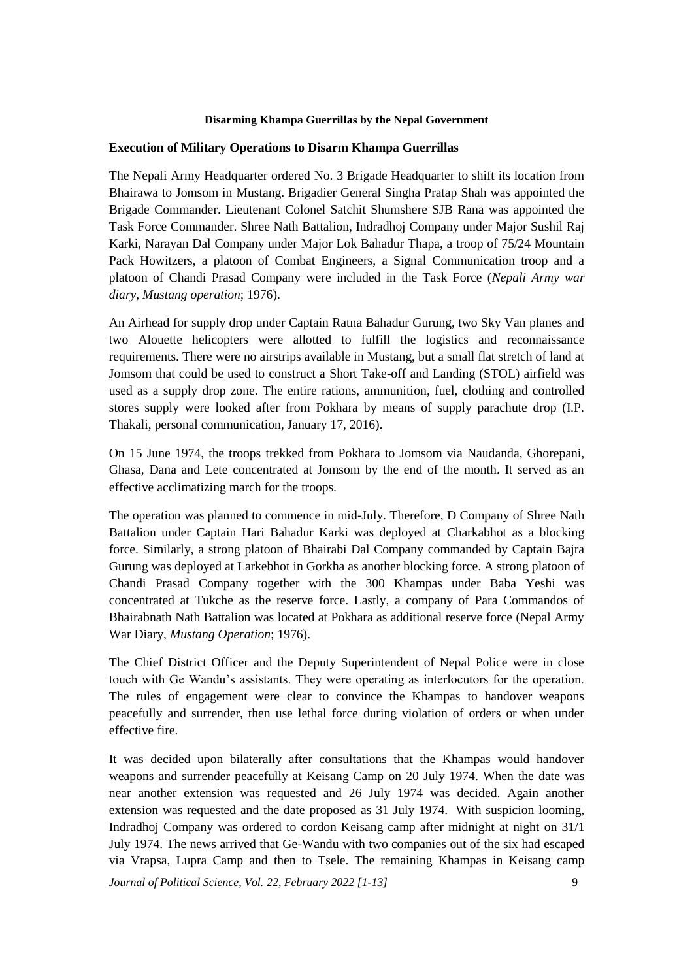## **Execution of Military Operations to Disarm Khampa Guerrillas**

The Nepali Army Headquarter ordered No. 3 Brigade Headquarter to shift its location from Bhairawa to Jomsom in Mustang. Brigadier General Singha Pratap Shah was appointed the Brigade Commander. Lieutenant Colonel Satchit Shumshere SJB Rana was appointed the Task Force Commander. Shree Nath Battalion, Indradhoj Company under Major Sushil Raj Karki, Narayan Dal Company under Major Lok Bahadur Thapa, a troop of 75/24 Mountain Pack Howitzers, a platoon of Combat Engineers, a Signal Communication troop and a platoon of Chandi Prasad Company were included in the Task Force (*Nepali Army war diary*, *Mustang operation*; 1976).

An Airhead for supply drop under Captain Ratna Bahadur Gurung, two Sky Van planes and two Alouette helicopters were allotted to fulfill the logistics and reconnaissance requirements. There were no airstrips available in Mustang, but a small flat stretch of land at Jomsom that could be used to construct a Short Take-off and Landing (STOL) airfield was used as a supply drop zone. The entire rations, ammunition, fuel, clothing and controlled stores supply were looked after from Pokhara by means of supply parachute drop (I.P. Thakali, personal communication, January 17, 2016).

On 15 June 1974, the troops trekked from Pokhara to Jomsom via Naudanda, Ghorepani, Ghasa, Dana and Lete concentrated at Jomsom by the end of the month. It served as an effective acclimatizing march for the troops.

The operation was planned to commence in mid-July. Therefore, D Company of Shree Nath Battalion under Captain Hari Bahadur Karki was deployed at Charkabhot as a blocking force. Similarly, a strong platoon of Bhairabi Dal Company commanded by Captain Bajra Gurung was deployed at Larkebhot in Gorkha as another blocking force. A strong platoon of Chandi Prasad Company together with the 300 Khampas under Baba Yeshi was concentrated at Tukche as the reserve force. Lastly, a company of Para Commandos of Bhairabnath Nath Battalion was located at Pokhara as additional reserve force (Nepal Army War Diary, *Mustang Operation*; 1976).

The Chief District Officer and the Deputy Superintendent of Nepal Police were in close touch with Ge Wandu's assistants. They were operating as interlocutors for the operation. The rules of engagement were clear to convince the Khampas to handover weapons peacefully and surrender, then use lethal force during violation of orders or when under effective fire.

It was decided upon bilaterally after consultations that the Khampas would handover weapons and surrender peacefully at Keisang Camp on 20 July 1974. When the date was near another extension was requested and 26 July 1974 was decided. Again another extension was requested and the date proposed as 31 July 1974. With suspicion looming, Indradhoj Company was ordered to cordon Keisang camp after midnight at night on 31/1 July 1974. The news arrived that Ge-Wandu with two companies out of the six had escaped via Vrapsa, Lupra Camp and then to Tsele. The remaining Khampas in Keisang camp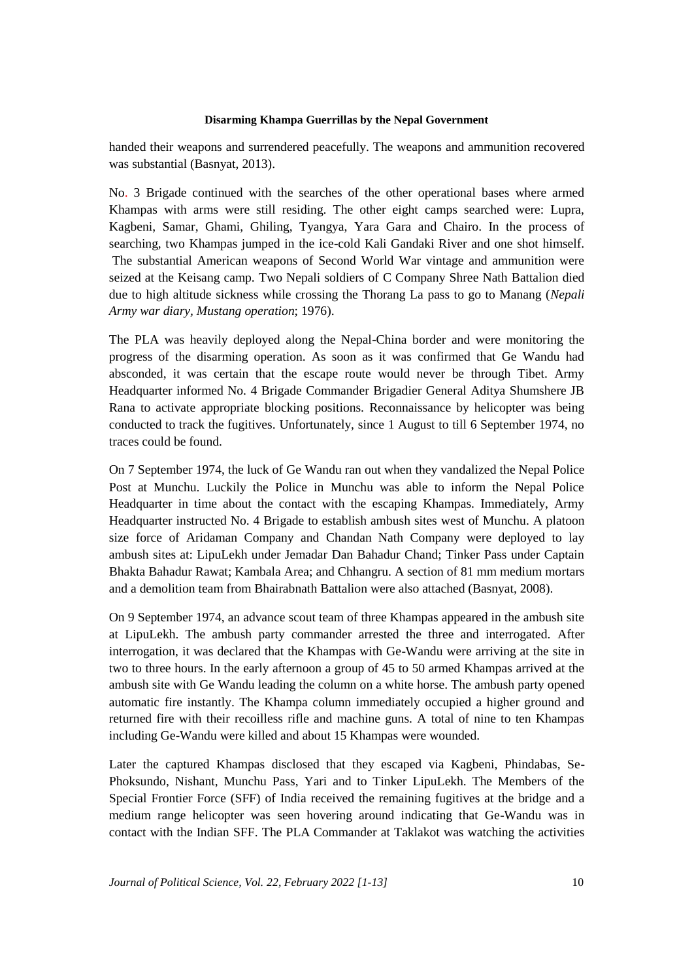handed their weapons and surrendered peacefully. The weapons and ammunition recovered was substantial (Basnyat, 2013).

No. 3 Brigade continued with the searches of the other operational bases where armed Khampas with arms were still residing. The other eight camps searched were: Lupra, Kagbeni, Samar, Ghami, Ghiling, Tyangya, Yara Gara and Chairo. In the process of searching, two Khampas jumped in the ice-cold Kali Gandaki River and one shot himself. The substantial American weapons of Second World War vintage and ammunition were seized at the Keisang camp. Two Nepali soldiers of C Company Shree Nath Battalion died due to high altitude sickness while crossing the Thorang La pass to go to Manang (*Nepali Army war diary, Mustang operation*; 1976).

The PLA was heavily deployed along the Nepal-China border and were monitoring the progress of the disarming operation. As soon as it was confirmed that Ge Wandu had absconded, it was certain that the escape route would never be through Tibet. Army Headquarter informed No. 4 Brigade Commander Brigadier General Aditya Shumshere JB Rana to activate appropriate blocking positions. Reconnaissance by helicopter was being conducted to track the fugitives. Unfortunately, since 1 August to till 6 September 1974, no traces could be found.

On 7 September 1974, the luck of Ge Wandu ran out when they vandalized the Nepal Police Post at Munchu. Luckily the Police in Munchu was able to inform the Nepal Police Headquarter in time about the contact with the escaping Khampas. Immediately, Army Headquarter instructed No. 4 Brigade to establish ambush sites west of Munchu. A platoon size force of Aridaman Company and Chandan Nath Company were deployed to lay ambush sites at: LipuLekh under Jemadar Dan Bahadur Chand; Tinker Pass under Captain Bhakta Bahadur Rawat; Kambala Area; and Chhangru. A section of 81 mm medium mortars and a demolition team from Bhairabnath Battalion were also attached (Basnyat, 2008).

On 9 September 1974, an advance scout team of three Khampas appeared in the ambush site at LipuLekh. The ambush party commander arrested the three and interrogated. After interrogation, it was declared that the Khampas with Ge-Wandu were arriving at the site in two to three hours. In the early afternoon a group of 45 to 50 armed Khampas arrived at the ambush site with Ge Wandu leading the column on a white horse. The ambush party opened automatic fire instantly. The Khampa column immediately occupied a higher ground and returned fire with their recoilless rifle and machine guns. A total of nine to ten Khampas including Ge-Wandu were killed and about 15 Khampas were wounded.

Later the captured Khampas disclosed that they escaped via Kagbeni, Phindabas, Se-Phoksundo, Nishant, Munchu Pass, Yari and to Tinker LipuLekh. The Members of the Special Frontier Force (SFF) of India received the remaining fugitives at the bridge and a medium range helicopter was seen hovering around indicating that Ge-Wandu was in contact with the Indian SFF. The PLA Commander at Taklakot was watching the activities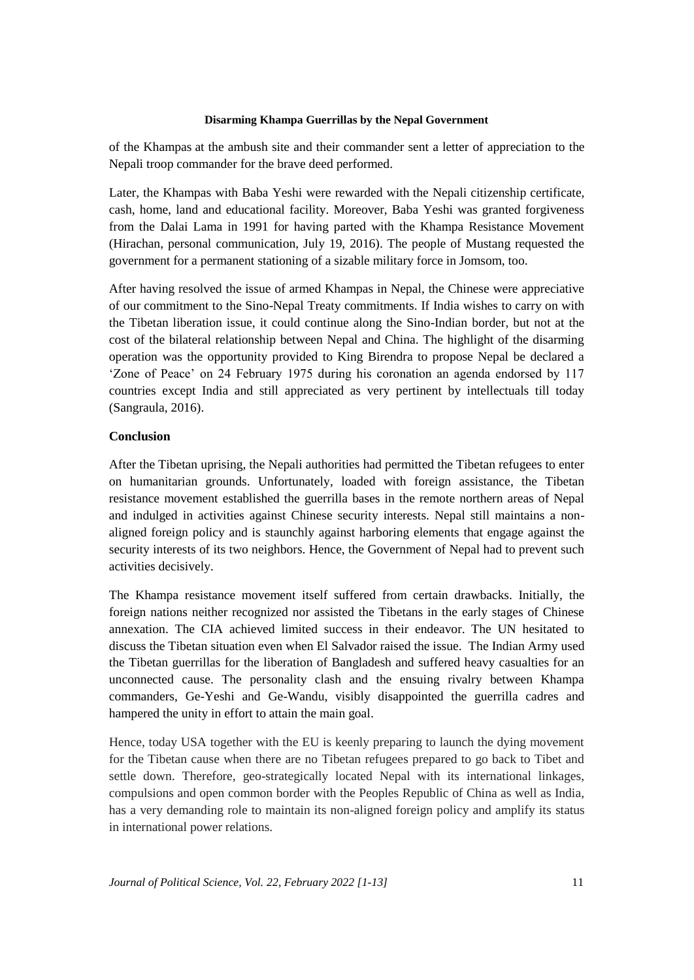of the Khampas at the ambush site and their commander sent a letter of appreciation to the Nepali troop commander for the brave deed performed.

Later, the Khampas with Baba Yeshi were rewarded with the Nepali citizenship certificate, cash, home, land and educational facility. Moreover, Baba Yeshi was granted forgiveness from the Dalai Lama in 1991 for having parted with the Khampa Resistance Movement (Hirachan, personal communication, July 19, 2016). The people of Mustang requested the government for a permanent stationing of a sizable military force in Jomsom, too.

After having resolved the issue of armed Khampas in Nepal, the Chinese were appreciative of our commitment to the Sino-Nepal Treaty commitments. If India wishes to carry on with the Tibetan liberation issue, it could continue along the Sino-Indian border, but not at the cost of the bilateral relationship between Nepal and China. The highlight of the disarming operation was the opportunity provided to King Birendra to propose Nepal be declared a 'Zone of Peace' on 24 February 1975 during his coronation an agenda endorsed by 117 countries except India and still appreciated as very pertinent by intellectuals till today (Sangraula, 2016).

# **Conclusion**

After the Tibetan uprising, the Nepali authorities had permitted the Tibetan refugees to enter on humanitarian grounds. Unfortunately, loaded with foreign assistance, the Tibetan resistance movement established the guerrilla bases in the remote northern areas of Nepal and indulged in activities against Chinese security interests. Nepal still maintains a nonaligned foreign policy and is staunchly against harboring elements that engage against the security interests of its two neighbors. Hence, the Government of Nepal had to prevent such activities decisively.

The Khampa resistance movement itself suffered from certain drawbacks. Initially, the foreign nations neither recognized nor assisted the Tibetans in the early stages of Chinese annexation. The CIA achieved limited success in their endeavor. The UN hesitated to discuss the Tibetan situation even when El Salvador raised the issue. The Indian Army used the Tibetan guerrillas for the liberation of Bangladesh and suffered heavy casualties for an unconnected cause. The personality clash and the ensuing rivalry between Khampa commanders, Ge-Yeshi and Ge-Wandu, visibly disappointed the guerrilla cadres and hampered the unity in effort to attain the main goal.

Hence, today USA together with the EU is keenly preparing to launch the dying movement for the Tibetan cause when there are no Tibetan refugees prepared to go back to Tibet and settle down. Therefore, geo-strategically located Nepal with its international linkages, compulsions and open common border with the Peoples Republic of China as well as India, has a very demanding role to maintain its non-aligned foreign policy and amplify its status in international power relations.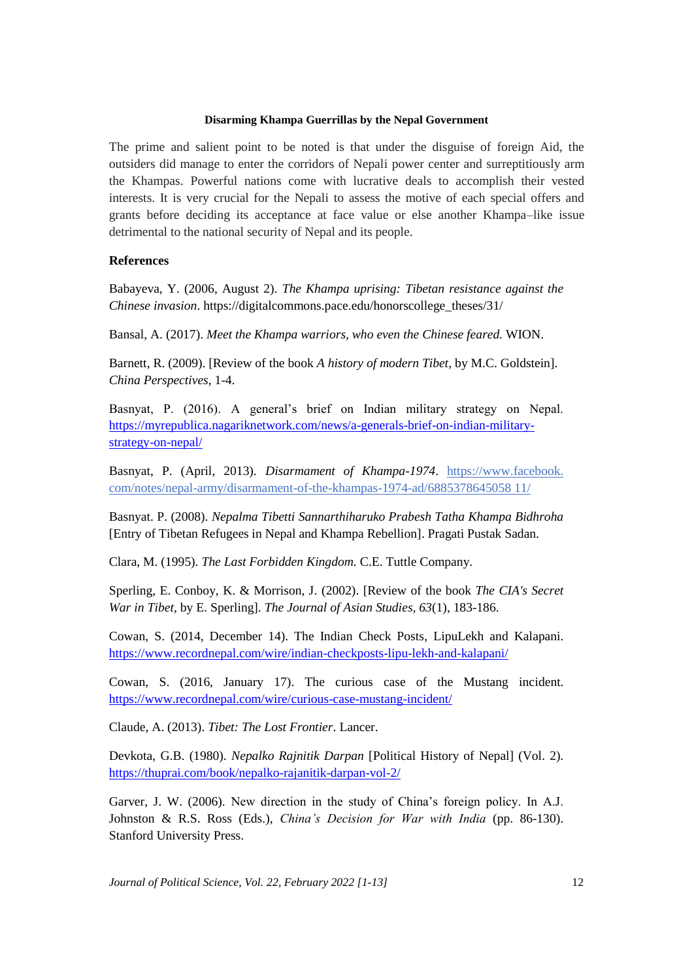The prime and salient point to be noted is that under the disguise of foreign Aid, the outsiders did manage to enter the corridors of Nepali power center and surreptitiously arm the Khampas. Powerful nations come with lucrative deals to accomplish their vested interests. It is very crucial for the Nepali to assess the motive of each special offers and grants before deciding its acceptance at face value or else another Khampa–like issue detrimental to the national security of Nepal and its people.

## **References**

Babayeva, Y. (2006, August 2). *The Khampa uprising: Tibetan resistance against the Chinese invasion*. https://digitalcommons.pace.edu/honorscollege\_theses/31/

Bansal, A. (2017). *Meet the Khampa warriors, who even the Chinese feared.* WION.

Barnett, R. (2009). [Review of the book *A history of modern Tibet,* by M.C. Goldstein]. *China Perspectives,* 1-4.

Basnyat, P. (2016). A general's brief on Indian military strategy on Nepal. [https://myrepublica.nagariknetwork.com/news/a-generals-brief-on-indian-military](https://myrepublica.nagariknetwork.com/news/a-generals-brief-on-indian-military-strategy-on-nepal/)[strategy-on-nepal/](https://myrepublica.nagariknetwork.com/news/a-generals-brief-on-indian-military-strategy-on-nepal/)

Basnyat, P. (April, 2013). *Disarmament of Khampa-1974*. https://www.facebook. com/notes/nepal-army/disarmament-of-the-khampas-1974-ad/6885378645058 11/

Basnyat. P. (2008). *Nepalma Tibetti Sannarthiharuko Prabesh Tatha Khampa Bidhroha*  [Entry of Tibetan Refugees in Nepal and Khampa Rebellion]. Pragati Pustak Sadan.

Clara, M. (1995). *The Last Forbidden Kingdom.* C.E. Tuttle Company.

Sperling, E. Conboy, K. & Morrison, J. (2002). [Review of the book *The CIA's Secret War in Tibet,* by E. Sperling]. *The Journal of Asian Studies, 63*(1), 183-186.

Cowan, S. (2014, December 14). The Indian Check Posts, LipuLekh and Kalapani. <https://www.recordnepal.com/wire/indian-checkposts-lipu-lekh-and-kalapani/>

Cowan, S. (2016, January 17). The curious case of the Mustang incident. <https://www.recordnepal.com/wire/curious-case-mustang-incident/>

Claude, A. (2013). *Tibet: The Lost Frontier*. Lancer.

Devkota, G.B. (1980). *Nepalko Rajnitik Darpan* [Political History of Nepal] (Vol. 2). <https://thuprai.com/book/nepalko-rajanitik-darpan-vol-2/>

Garver, J. W. (2006). New direction in the study of China's foreign policy. In A.J. Johnston & R.S. Ross (Eds.), *China's Decision for War with India* (pp. 86-130). Stanford University Press.